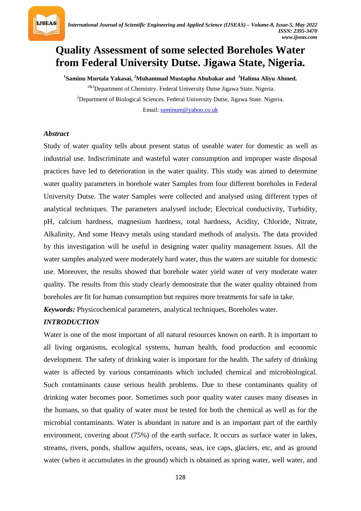

# **Quality Assessment of some selected Boreholes Water from Federal University Dutse. Jigawa State, Nigeria.**

*P* **1** *<sup>P</sup>***Saminu Murtala Yakasai,** *<sup>P</sup>* **2** *<sup>P</sup>***Muhammad Mustapha Abubakar and** *<sup>P</sup>* **3** *<sup>P</sup>***Halima Aliyu Ahmed.**

<sup>1&3</sup>Department of Chemistry. Federal University Dutse Jigawa State. Nigeria. *P* 2 *<sup>P</sup>*Department of Biological Sciences. Federal University Dutse, Jigawa State. Nigeria. Email: [saminum@yahoo.co.uk](mailto:saminum@yahoo.co.uk)

## *Abstract*

Study of water quality tells about present status of useable water for domestic as well as industrial use. Indiscriminate and wasteful water consumption and improper waste disposal practices have led to deterioration in the water quality. This study was aimed to determine water quality parameters in borehole water Samples from four different boreholes in Federal University Dutse. The water Samples were collected and analysed using different types of analytical techniques. The parameters analysed include; Electrical conductivity, Turbidity, pH, calcium hardness, magnesium hardness, total hardness, Acidity, Chloride, Nitrate, Alkalinity, And some Heavy metals using standard methods of analysis. The data provided by this investigation will be useful in designing water quality management issues. All the water samples analyzed were moderately hard water, thus the waters are suitable for domestic use. Moreover, the results showed that borehole water yield water of very moderate water quality. The results from this study clearly demonstrate that the water quality obtained from boreholes are fit for human consumption but requires more treatments for safe in take.

*Keywords:* Physicochemical parameters, analytical techniques, Boreholes water.

# *INTRODUCTION*

Water is one of the most important of all natural resources known on earth. It is important to all living organisms, ecological systems, human health, food production and economic development. The safety of drinking water is important for the health. The safety of drinking water is affected by various contaminants which included chemical and microbiological. Such contaminants cause serious health problems. Due to these contaminants quality of drinking water becomes poor. Sometimes such poor quality water causes many diseases in the humans, so that quality of water must be tested for both the chemical as well as for the microbial contaminants. Water is abundant in nature and is an important part of the earthly environment, covering about (75%) of the earth surface. It occurs as surface water in lakes, streams, rivers, ponds, shallow aquifers, oceans, seas, ice caps, glaciers, etc, and as ground water (when it accumulates in the ground) which is obtained as spring water, well water, and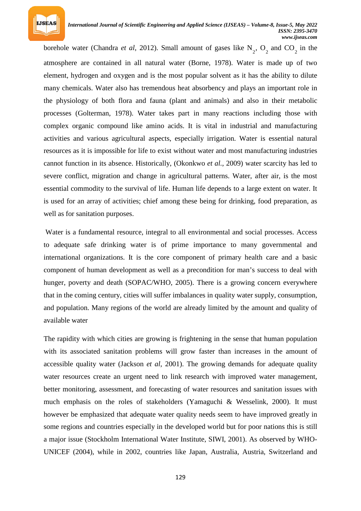

borehole water (Chandra *et al*, 2012). Small amount of gases like  $N_2$ ,  $O_2$  and  $CO_2$  in the atmosphere are contained in all natural water (Borne, 1978). Water is made up of two element, hydrogen and oxygen and is the most popular solvent as it has the ability to dilute many chemicals. Water also has tremendous heat absorbency and plays an important role in the physiology of both flora and fauna (plant and animals) and also in their metabolic processes (Golterman, 1978). Water takes part in many reactions including those with complex organic compound like amino acids. It is vital in industrial and manufacturing activities and various agricultural aspects, especially irrigation. Water is essential natural resources as it is impossible for life to exist without water and most manufacturing industries cannot function in its absence. Historically, (Okonkwo *et al.*, 2009) water scarcity has led to severe conflict, migration and change in agricultural patterns. Water, after air, is the most essential commodity to the survival of life. Human life depends to a large extent on water. It is used for an array of activities; chief among these being for drinking, food preparation, as well as for sanitation purposes.

Water is a fundamental resource, integral to all environmental and social processes. Access to adequate safe drinking water is of prime importance to many governmental and international organizations. It is the core component of primary health care and a basic component of human development as well as a precondition for man's success to deal with hunger, poverty and death (SOPAC/WHO, 2005). There is a growing concern everywhere that in the coming century, cities will suffer imbalances in quality water supply, consumption, and population. Many regions of the world are already limited by the amount and quality of available water

The rapidity with which cities are growing is frightening in the sense that human population with its associated sanitation problems will grow faster than increases in the amount of accessible quality water (Jackson *et al*, 2001). The growing demands for adequate quality water resources create an urgent need to link research with improved water management, better monitoring, assessment, and forecasting of water resources and sanitation issues with much emphasis on the roles of stakeholders (Yamaguchi & Wesselink, 2000). It must however be emphasized that adequate water quality needs seem to have improved greatly in some regions and countries especially in the developed world but for poor nations this is still a major issue (Stockholm International Water Institute, SIWI, 2001). As observed by WHO-UNICEF (2004), while in 2002, countries like Japan, Australia, Austria, Switzerland and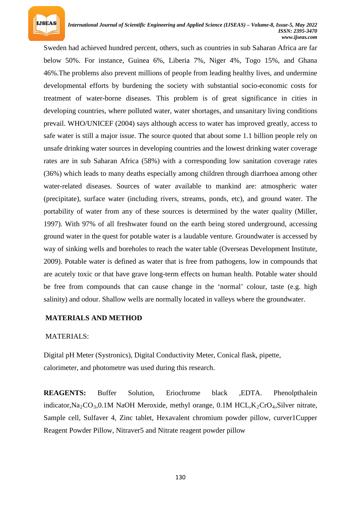

Sweden had achieved hundred percent, others, such as countries in sub Saharan Africa are far below 50%. For instance, Guinea 6%, Liberia 7%, Niger 4%, Togo 15%, and Ghana 46%.The problems also prevent millions of people from leading healthy lives, and undermine developmental efforts by burdening the society with substantial socio-economic costs for treatment of water-borne diseases. This problem is of great significance in cities in developing countries, where polluted water, water shortages, and unsanitary living conditions prevail. WHO/UNICEF (2004) says although access to water has improved greatly, access to safe water is still a major issue. The source quoted that about some 1.1 billion people rely on unsafe drinking water sources in developing countries and the lowest drinking water coverage rates are in sub Saharan Africa (58%) with a corresponding low sanitation coverage rates (36%) which leads to many deaths especially among children through diarrhoea among other water-related diseases. Sources of water available to mankind are: atmospheric water (precipitate), surface water (including rivers, streams, ponds, etc), and ground water. The portability of water from any of these sources is determined by the water quality (Miller, 1997). With 97% of all freshwater found on the earth being stored underground, accessing ground water in the quest for potable water is a laudable venture. Groundwater is accessed by way of sinking wells and boreholes to reach the water table (Overseas Development Institute, 2009). Potable water is defined as water that is free from pathogens, low in compounds that are acutely toxic or that have grave long-term effects on human health. Potable water should be free from compounds that can cause change in the 'normal' colour, taste (e.g. high salinity) and odour. Shallow wells are normally located in valleys where the groundwater.

#### **MATERIALS AND METHOD**

#### MATERIALS:

Digital pH Meter (Systronics), Digital Conductivity Meter, Conical flask, pipette, calorimeter, and photometre was used during this research.

*REAGENTS* Buffer Solution, Eriochrome black ,EDTA. Phenolpthalein indicator, Na<sub>2</sub>CO<sub>3</sub>, 0.1M NaOH Meroxide, methyl orange, 0.1M HCL, K<sub>2</sub>CrO<sub>4</sub>, Silver nitrate, Sample cell, Sulfaver 4, Zinc tablet, Hexavalent chromium powder pillow, curver1Cupper Reagent Powder Pillow, Nitraver5 and Nitrate reagent powder pillow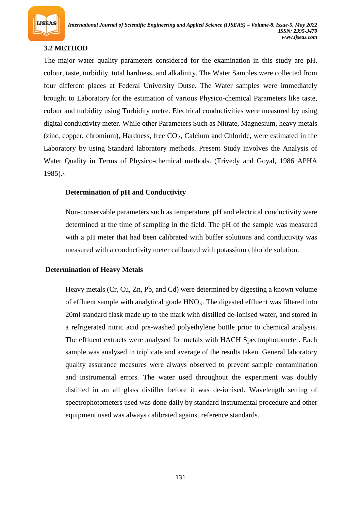

# **3.2 METHOD**

The major water quality parameters considered for the examination in this study are pH, colour, taste, turbidity, total hardness, and alkalinity. The Water Samples were collected from four different places at Federal University Dutse. The Water samples were immediately brought to Laboratory for the estimation of various Physico-chemical Parameters like taste, colour and turbidity using Turbidity metre. Electrical conductivities were measured by using digital conductivity meter. While other Parameters Such as Nitrate, Magnesium, heavy metals (zinc, copper, chromium), Hardness, free CO<sub>2</sub>, Calcium and Chloride, were estimated in the Laboratory by using Standard laboratory methods. Present Study involves the Analysis of Water Quality in Terms of Physico-chemical methods. (Trivedy and Goyal, 1986 APHA  $1985$ ).

# **Determination of pH and Conductivity**

Non-conservable parameters such as temperature, pH and electrical conductivity were determined at the time of sampling in the field. The pH of the sample was measured with a pH meter that had been calibrated with buffer solutions and conductivity was measured with a conductivity meter calibrated with potassium chloride solution.

# **Determination of Heavy Metals**

Heavy metals (Cr, Cu, Zn, Pb, and Cd) were determined by digesting a known volume of effluent sample with analytical grade HNO<sub>3</sub>. The digested effluent was filtered into 20ml standard flask made up to the mark with distilled de-ionised water, and stored in a refrigerated nitric acid pre-washed polyethylene bottle prior to chemical analysis. The effluent extracts were analysed for metals with HACH Spectrophotometer. Each sample was analysed in triplicate and average of the results taken. General laboratory quality assurance measures were always observed to prevent sample contamination and instrumental errors. The water used throughout the experiment was doubly distilled in an all glass distiller before it was de-ionised. Wavelength setting of spectrophotometers used was done daily by standard instrumental procedure and other equipment used was always calibrated against reference standards.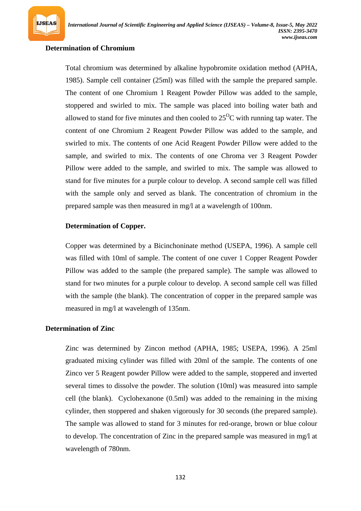## **Determination of Chromium**

**IJSEAS** 

Total chromium was determined by alkaline hypobromite oxidation method (APHA, 1985). Sample cell container (25ml) was filled with the sample the prepared sample. The content of one Chromium 1 Reagent Powder Pillow was added to the sample, stoppered and swirled to mix. The sample was placed into boiling water bath and allowed to stand for five minutes and then cooled to  $25^{\circ}$ C with running tap water. The content of one Chromium 2 Reagent Powder Pillow was added to the sample, and swirled to mix. The contents of one Acid Reagent Powder Pillow were added to the sample, and swirled to mix. The contents of one Chroma ver 3 Reagent Powder Pillow were added to the sample, and swirled to mix. The sample was allowed to stand for five minutes for a purple colour to develop. A second sample cell was filled with the sample only and served as blank. The concentration of chromium in the prepared sample was then measured in mg/l at a wavelength of 100nm.

#### **Determination of Copper.**

Copper was determined by a Bicinchoninate method (USEPA, 1996). A sample cell was filled with 10ml of sample. The content of one cuver 1 Copper Reagent Powder Pillow was added to the sample (the prepared sample). The sample was allowed to stand for two minutes for a purple colour to develop. A second sample cell was filled with the sample (the blank). The concentration of copper in the prepared sample was measured in mg/l at wavelength of 135nm.

#### **Determination of Zinc**

Zinc was determined by Zincon method (APHA, 1985; USEPA, 1996). A 25ml graduated mixing cylinder was filled with 20ml of the sample. The contents of one Zinco ver 5 Reagent powder Pillow were added to the sample, stoppered and inverted several times to dissolve the powder. The solution (10ml) was measured into sample cell (the blank). Cyclohexanone (0.5ml) was added to the remaining in the mixing cylinder, then stoppered and shaken vigorously for 30 seconds (the prepared sample). The sample was allowed to stand for 3 minutes for red-orange, brown or blue colour to develop. The concentration of Zinc in the prepared sample was measured in mg/l at wavelength of 780nm.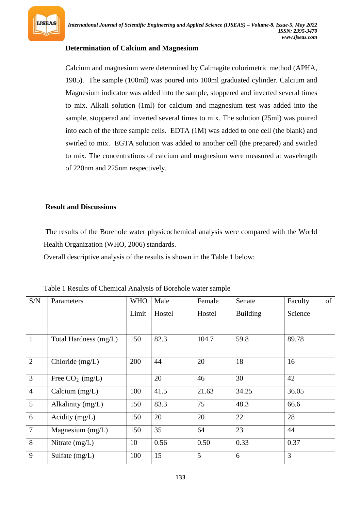

# **Determination of Calcium and Magnesium**

Calcium and magnesium were determined by Calmagite colorimetric method (APHA, 1985). The sample (100ml) was poured into 100ml graduated cylinder. Calcium and Magnesium indicator was added into the sample, stoppered and inverted several times to mix. Alkali solution (1ml) for calcium and magnesium test was added into the sample, stoppered and inverted several times to mix. The solution (25ml) was poured into each of the three sample cells. EDTA (1M) was added to one cell (the blank) and swirled to mix. EGTA solution was added to another cell (the prepared) and swirled to mix. The concentrations of calcium and magnesium were measured at wavelength of 220nm and 225nm respectively.

#### **Result and Discussions**

The results of the Borehole water physicochemical analysis were compared with the World Health Organization (WHO, 2006) standards.

Overall descriptive analysis of the results is shown in the Table 1 below:

| S/N            | Parameters            | <b>WHO</b> | Male   | Female | Senate          | of<br>Faculty |
|----------------|-----------------------|------------|--------|--------|-----------------|---------------|
|                |                       | Limit      | Hostel | Hostel | <b>Building</b> | Science       |
|                |                       |            |        |        |                 |               |
| $\mathbf{1}$   | Total Hardness (mg/L) | 150        | 82.3   | 104.7  | 59.8            | 89.78         |
|                |                       |            |        |        |                 |               |
| $\overline{2}$ | Chloride (mg/L)       | 200        | 44     | 20     | 18              | 16            |
| $\overline{3}$ | Free $CO2$ (mg/L)     |            | 20     | 46     | 30              | 42            |
| $\overline{4}$ | Calcium $(mg/L)$      | 100        | 41.5   | 21.63  | 34.25           | 36.05         |
| 5              | Alkalinity (mg/L)     | 150        | 83.3   | 75     | 48.3            | 66.6          |
| 6              | Acidity $(mg/L)$      | 150        | 20     | 20     | 22              | 28            |
| $\overline{7}$ | Magnesium (mg/L)      | 150        | 35     | 64     | 23              | 44            |
| 8              | Nitrate $(mg/L)$      | 10         | 0.56   | 0.50   | 0.33            | 0.37          |
| 9              | Sulfate $(mg/L)$      | 100        | 15     | 5      | 6               | 3             |

Table 1 Results of Chemical Analysis of Borehole water sample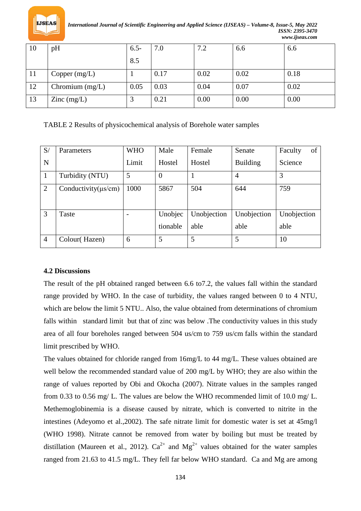

*International Journal of Scientific Engineering and Applied Science (IJSEAS) – Volume-8, Issue-5, May 2022 ISSN: 2395-3470 www.ijseas.com*

| 10 | pH                                       | $6.5 -$ | 7.0  | 7.2  | 6.6  | 6.6  |
|----|------------------------------------------|---------|------|------|------|------|
|    |                                          | 8.5     |      |      |      |      |
| 11 | Copper $(mg/L)$                          |         | 0.17 | 0.02 | 0.02 | 0.18 |
| 12 | Chromium $(mg/L)$                        | 0.05    | 0.03 | 0.04 | 0.07 | 0.02 |
| 13 | $\text{Zinc} \left( \text{mg/L} \right)$ |         | 0.21 | 0.00 | 0.00 | 0.00 |

TABLE 2 Results of physicochemical analysis of Borehole water samples

| S/             | Parameters                | <b>WHO</b> | Male                | Female              | Senate              | of<br>Faculty       |
|----------------|---------------------------|------------|---------------------|---------------------|---------------------|---------------------|
| N              |                           | Limit      | Hostel              | Hostel              | <b>Building</b>     | Science             |
| 1              | Turbidity (NTU)           | 5          | $\overline{0}$      |                     | 4                   | 3                   |
| $\overline{2}$ | Conductivity $(\mu s/cm)$ | 1000       | 5867                | 504                 | 644                 | 759                 |
| 3              | Taste                     |            | Unobjec<br>tionable | Unobjection<br>able | Unobjection<br>able | Unobjection<br>able |
| $\overline{4}$ | Colour(Hazen)             | 6          | 5                   | 5                   | 5                   | 10                  |

# **4.2 Discussions**

The result of the pH obtained ranged between 6.6 to7.2, the values fall within the standard range provided by WHO. In the case of turbidity, the values ranged between 0 to 4 NTU, which are below the limit 5 NTU.. Also, the value obtained from determinations of chromium falls within standard limit but that of zinc was below .The conductivity values in this study area of all four boreholes ranged between 504 us/cm to 759 us/cm falls within the standard limit prescribed by WHO.

The values obtained for chloride ranged from 16mg/L to 44 mg/L. These values obtained are well below the recommended standard value of 200 mg/L by WHO; they are also within the range of values reported by Obi and Okocha (2007). Nitrate values in the samples ranged from 0.33 to 0.56 mg/ L. The values are below the WHO recommended limit of 10.0 mg/ L. Methemoglobinemia is a disease caused by nitrate, which is converted to nitrite in the intestines (Adeyomo et al.,2002). The safe nitrate limit for domestic water is set at 45mg/l (WHO 1998). Nitrate cannot be removed from water by boiling but must be treated by distillation (Maureen et al., 2012).  $Ca^{2+}$  and  $Mg^{2+}$  values obtained for the water samples ranged from 21.63 to 41.5 mg/L. They fell far below WHO standard. Ca and Mg are among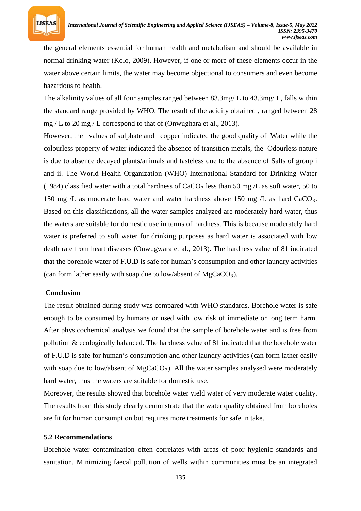

the general elements essential for human health and metabolism and should be available in normal drinking water (Kolo, 2009). However, if one or more of these elements occur in the water above certain limits, the water may become objectional to consumers and even become hazardous to health.

The alkalinity values of all four samples ranged between 83.3mg/ L to 43.3mg/ L, falls within the standard range provided by WHO. The result of the acidity obtained , ranged between 28 mg / L to 20 mg / L correspond to that of (Onwughara et al., 2013).

However, the values of sulphate and copper indicated the good quality of Water while the colourless property of water indicated the absence of transition metals, the Odourless nature is due to absence decayed plants/animals and tasteless due to the absence of Salts of group i and ii. The World Health Organization (WHO) International Standard for Drinking Water (1984) classified water with a total hardness of  $CaCO<sub>3</sub>$  less than 50 mg /L as soft water, 50 to 150 mg /L as moderate hard water and water hardness above 150 mg /L as hard CaCO<sub>3</sub>. Based on this classifications, all the water samples analyzed are moderately hard water, thus the waters are suitable for domestic use in terms of hardness. This is because moderately hard water is preferred to soft water for drinking purposes as hard water is associated with low death rate from heart diseases (Onwugwara et al., 2013). The hardness value of 81 indicated that the borehole water of F.U.D is safe for human's consumption and other laundry activities (can form lather easily with soap due to low/absent of MgCaCO<sub>3</sub>).

#### **Conclusion**

The result obtained during study was compared with WHO standards. Borehole water is safe enough to be consumed by humans or used with low risk of immediate or long term harm. After physicochemical analysis we found that the sample of borehole water and is free from pollution & ecologically balanced. The hardness value of 81 indicated that the borehole water of F.U.D is safe for human's consumption and other laundry activities (can form lather easily with soap due to low/absent of MgCaCO<sub>3</sub>). All the water samples analysed were moderately hard water, thus the waters are suitable for domestic use.

Moreover, the results showed that borehole water yield water of very moderate water quality. The results from this study clearly demonstrate that the water quality obtained from boreholes are fit for human consumption but requires more treatments for safe in take.

# **5.2 Recommendations**

Borehole water contamination often correlates with areas of poor hygienic standards and sanitation. Minimizing faecal pollution of wells within communities must be an integrated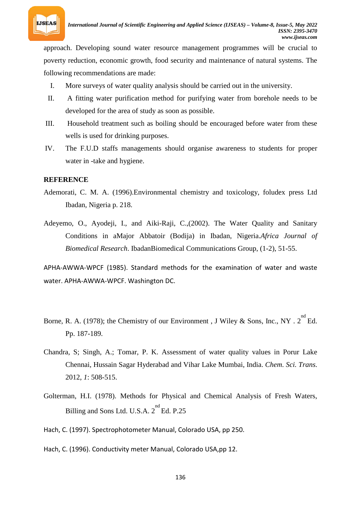

approach. Developing sound water resource management programmes will be crucial to poverty reduction, economic growth, food security and maintenance of natural systems. The following recommendations are made:

- I. More surveys of water quality analysis should be carried out in the university.
- II. A fitting water purification method for purifying water from borehole needs to be developed for the area of study as soon as possible.
- III. Household treatment such as boiling should be encouraged before water from these wells is used for drinking purposes.
- IV. The F.U.D staffs managements should organise awareness to students for proper water in -take and hygiene.

## **REFERENCE**

- Ademorati, C. M. A. (1996).Environmental chemistry and toxicology, foludex press Ltd Ibadan, Nigeria p. 218.
- Adeyemo, O., Ayodeji, I., and Aiki-Raji, C.,(2002). The Water Quality and Sanitary Conditions in aMajor Abbatoir (Bodija) in Ibadan, Nigeria.*Africa Journal of Biomedical Research*. IbadanBiomedical Communications Group, (1-2), 51-55.

APHA-AWWA-WPCF (1985). Standard methods for the examination of water and waste water. APHA-AWWA-WPCF. Washington DC.

- Borne, R. A. (1978); the Chemistry of our Environment, J Wiley & Sons, Inc., NY . 2<sup>nd</sup> Ed. Pp. 187-189.
- Chandra, S; Singh, A.; Tomar, P. K. Assessment of water quality values in Porur Lake Chennai, Hussain Sagar Hyderabad and Vihar Lake Mumbai, India. *Chem. Sci. Trans*. 2012, *1*: 508-515.
- Golterman, H.I. (1978). Methods for Physical and Chemical Analysis of Fresh Waters, Billing and Sons Ltd. U.S.A. 2<sup>nd</sup> Ed. P.25
- Hach, C. (1997). Spectrophotometer Manual, Colorado USA, pp 250.
- Hach, C. (1996). Conductivity meter Manual, Colorado USA,pp 12.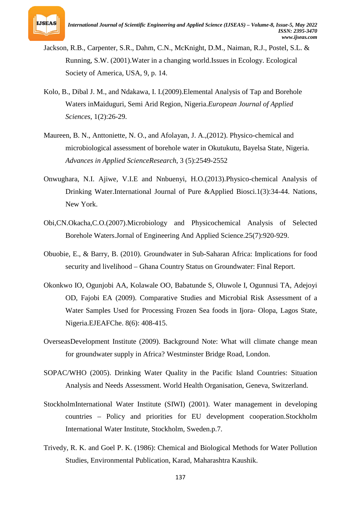

- Jackson, R.B., Carpenter, S.R., Dahm, C.N., McKnight, D.M., Naiman, R.J., Postel, S.L. & Running, S.W. (2001).Water in a changing world.Issues in Ecology. Ecological Society of America, USA, 9, p. 14.
- Kolo, B., Dibal J. M., and Ndakawa, I. I.(2009).Elemental Analysis of Tap and Borehole Waters inMaiduguri, Semi Arid Region, Nigeria.*European Journal of Applied Sciences*, 1(2):26-29.
- Maureen, B. N., Anttoniette, N. O., and Afolayan, J. A.,(2012). Physico-chemical and microbiological assessment of borehole water in Okutukutu, Bayelsa State, Nigeria. *Advances in Applied ScienceResearch*, 3 (5):2549-2552
- Onwughara, N.I. Ajiwe, V.I.E and Nnbuenyi, H.O.(2013).Physico-chemical Analysis of Drinking Water.International Journal of Pure &Applied Biosci.1(3):34-44. Nations, New York.
- Obi,CN.Okacha,C.O.(2007).Microbiology and Physicochemical Analysis of Selected Borehole Waters.Jornal of Engineering And Applied Science.25(7):920-929.
- Obuobie, E., & Barry, B. (2010). Groundwater in Sub-Saharan Africa: Implications for food security and livelihood – Ghana Country Status on Groundwater: Final Report.
- Okonkwo IO, Ogunjobi AA, Kolawale OO, Babatunde S, Oluwole I, Ogunnusi TA, Adejoyi OD, Fajobi EA (2009). Comparative Studies and Microbial Risk Assessment of a Water Samples Used for Processing Frozen Sea foods in Ijora- Olopa, Lagos State, Nigeria.EJEAFChe. 8(6): 408-415.
- OverseasDevelopment Institute (2009). Background Note: What will climate change mean for groundwater supply in Africa? Westminster Bridge Road, London.
- SOPAC/WHO (2005). Drinking Water Quality in the Pacific Island Countries: Situation Analysis and Needs Assessment. World Health Organisation, Geneva, Switzerland.
- StockholmInternational Water Institute (SIWI) (2001). Water management in developing countries – Policy and priorities for EU development cooperation.Stockholm International Water Institute, Stockholm, Sweden.p.7.
- Trivedy, R. K. and Goel P. K. (1986): Chemical and Biological Methods for Water Pollution Studies, Environmental Publication, Karad, Maharashtra Kaushik.